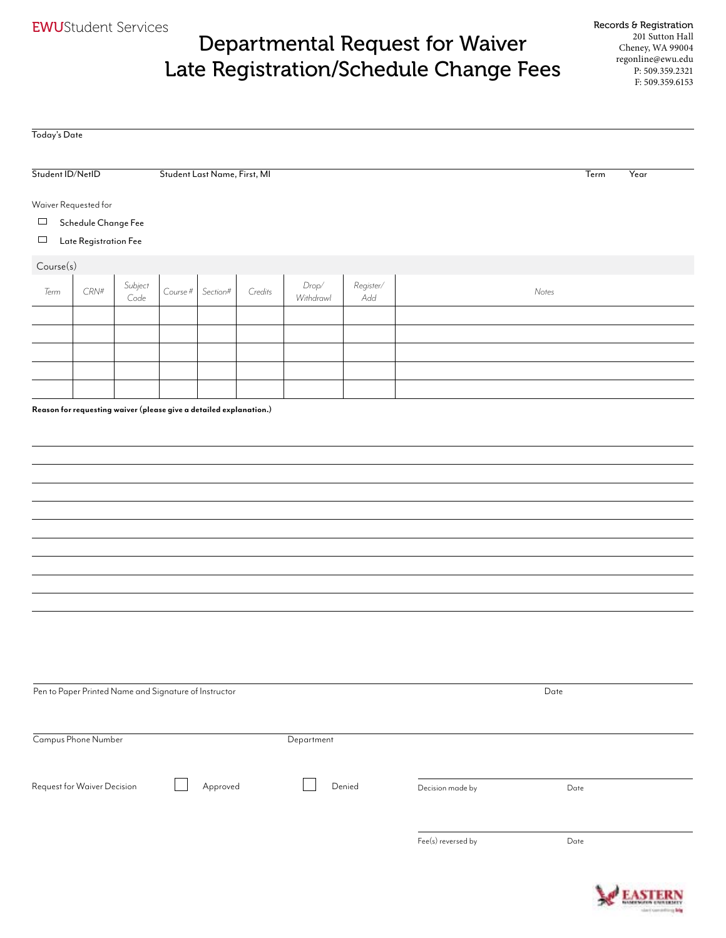## Departmental Request for Waiver Late Registration/Schedule Change Fees

| Today's Date     |                                                       |                 |                              |          |         |                      |                  |                  |              |
|------------------|-------------------------------------------------------|-----------------|------------------------------|----------|---------|----------------------|------------------|------------------|--------------|
|                  |                                                       |                 |                              |          |         |                      |                  |                  |              |
| Student ID/NetID |                                                       |                 | Student Last Name, First, MI |          |         |                      |                  |                  | Term<br>Year |
|                  | Waiver Requested for                                  |                 |                              |          |         |                      |                  |                  |              |
| $\Box$           | Schedule Change Fee                                   |                 |                              |          |         |                      |                  |                  |              |
| $\Box$           | Late Registration Fee                                 |                 |                              |          |         |                      |                  |                  |              |
| Course(s)        |                                                       |                 |                              |          |         |                      |                  |                  |              |
| Term             | $\mathit{CRN}^{\#}$                                   | Subject<br>Code | Course #                     | Section# | Credits | $Drop/$<br>Withdrawl | Register/<br>Add |                  | Notes        |
|                  |                                                       |                 |                              |          |         |                      |                  |                  |              |
|                  |                                                       |                 |                              |          |         |                      |                  |                  |              |
|                  |                                                       |                 |                              |          |         |                      |                  |                  |              |
|                  |                                                       |                 |                              |          |         |                      |                  |                  |              |
|                  |                                                       |                 |                              |          |         |                      |                  |                  |              |
|                  |                                                       |                 |                              |          |         |                      |                  |                  |              |
|                  | Pen to Paper Printed Name and Signature of Instructor |                 |                              |          |         |                      |                  |                  | Date         |
|                  | Campus Phone Number                                   |                 |                              |          |         | Department           |                  |                  |              |
|                  | Request for Waiver Decision                           |                 |                              | Approved |         |                      | Denied           | Decision made by | Date         |